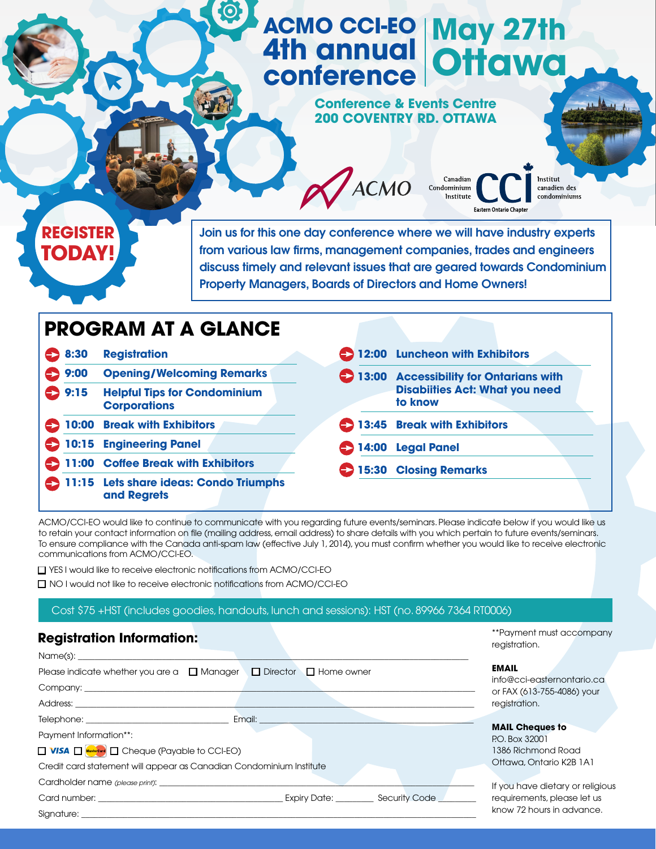## **ACMO CCI-EO 4th annual conference May 27th Ottawa**

**Conference & Events Centre 200 COVENTRY RD. OTTAWA**

**X** ACMO



Join us for this one day conference where we will have industry experts from various law firms, management companies, trades and engineers discuss timely and relevant issues that are geared towards Condominium Property Managers, Boards of Directors and Home Owners!

# **PROGRAM AT A GLANCE 8:30 Registration 9:00 Opening/Welcoming Remarks 9:15 Helpful Tips for Condominium Corporations 10:00 Break with Exhibitors 10:15 Engineering Panel 11:00 Coffee Break with Exhibitors 11:15 Lets share ideas: Condo Triumphs and Regrets**

| 12:00 Luncheon with Exhibitors                                                             |
|--------------------------------------------------------------------------------------------|
| 13:00 Accessibility for Ontarians with<br><b>Disabiities Act: What you need</b><br>to know |
| 13:45 Break with Exhibitors                                                                |
| 14:00 Legal Panel                                                                          |
| 15:30 Closing Remarks                                                                      |

Canadian

**Eastern Ontario Chapter** 

Condominium Institute

\*\*Payment must accompany

registration

**MAY 5-7** 

n des<br>iniums

Institut

ACMO/CCI-EO would like to continue to communicate with you regarding future events/seminars. Please indicate below if you would like us to retain your contact information on file (mailing address, email address) to share details with you which pertain to future events/seminars. To ensure compliance with the Canada anti-spam law (effective July 1, 2014), you must confirm whether you would like to receive electronic communications from ACMO/CCI-EO.

□ YES I would like to receive electronic notifications from ACMO/CCI-EO

n NO I would not like to receive electronic notifications from ACMO/CCI-EO

#### Cost \$75 +HST (includes goodies, handouts, lunch and sessions): HST (no. 89966 7364 RT0006)

## **Registration Information:**

| Name(s):                                                                                                                                                                                                                                                     |                                            |
|--------------------------------------------------------------------------------------------------------------------------------------------------------------------------------------------------------------------------------------------------------------|--------------------------------------------|
| Please indicate whether you are a $\Box$ Manager $\Box$ Director $\Box$ Home owner                                                                                                                                                                           | <b>EMAIL</b><br>info@cci-easternontario.ca |
|                                                                                                                                                                                                                                                              | or FAX (613-755-4086) your                 |
| Address: <b>Example 2019</b>                                                                                                                                                                                                                                 | registration.                              |
| Telephone: Telephone and the contract of the contract of the contract of the contract of the contract of the contract of the contract of the contract of the contract of the contract of the contract of the contract of the c<br>Email:                     |                                            |
| Payment Information**:                                                                                                                                                                                                                                       | <b>MAIL Cheques to</b><br>P.O. Box 32001   |
| □ VISA □ MasterCard □ Cheque (Payable to CCI-EO)                                                                                                                                                                                                             | 1386 Richmond Road                         |
| Credit card statement will appear as Canadian Condominium Institute                                                                                                                                                                                          | Ottawa, Ontario K2B 1A1                    |
|                                                                                                                                                                                                                                                              | If you have dietary or religious           |
| Expiry Date: Security Code<br>Card number: the contract of the contract of the contract of the contract of the contract of the contract of the contract of the contract of the contract of the contract of the contract of the contract of the contract of t | requirements, please let us                |
| Signature:                                                                                                                                                                                                                                                   | know 72 hours in advance.                  |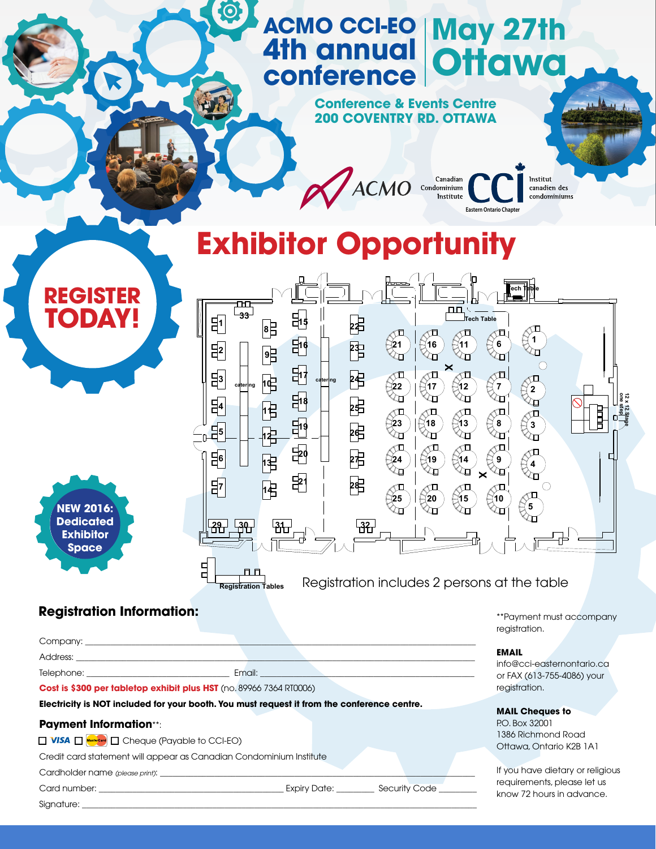#### <u>and the second second</u> **conference THE REAL PROPERTY** 20 Jan 10 Jan 10 Jan 10 Jan 10 Jan 10 Jan 10 Jan 10 Jan 10 Jan 10 Jan 10 Jan 10 Jan 10 Jan 10 Jan 10 Jan 10 Jan 10 **Contract Contract Contract Contract Contract Contract Contract Contract Contract Contract Contract Contract Contract Contract Contract Contract Contract Contract Contract Contract Contract Contract Contract Contract Contr ACMO CCI-EO 4th annual May 27th Ottawa**



(Condomin Institut **Eastern Ontario Chapter** 

des **and the contract of the contract of the contract of the contract of the contract of the contract of the contract of the contract of the contract of the contract of the contract of the contract of the contract of the c** Institut

**MAY 5-7** 

# $\blacksquare$ **Exhibitor Opportunity**

 $\mathbf{v}$ 



**Registration Information:** 

\*\*Payment must accompany registration.

#### **EMAIL**

info@cci-easternontario.ca or FAX (613-755-4086) your registration.

#### **MAIL Cheques to**

P.O. Box 32001 1386 Richmond Road Ottawa, Ontario K2B 1A1

If you have dietary or religious requirements, please let us know 72 hours in advance.

**NEW 2016: Dedicated Exhibitor Space** 

**REGISTER**

**TODAY!**

| Address: <u>Quarter and Charles and Charles and Charles and Charles and Charles and Charles and Charles and Charles and Charles and Charles and Charles and Charles and Charles and Charles and Charles and Charles and Charles </u> |                                                                                                                |
|--------------------------------------------------------------------------------------------------------------------------------------------------------------------------------------------------------------------------------------|----------------------------------------------------------------------------------------------------------------|
| Telephone: New York Product and Product Product Product Product Product Product Product Product Product Product Product Product Product Product Product Product Product Product Product Product Product Product Product Produc       | Email: Annual Annual Annual Annual Annual Annual Annual Annual Annual Annual Annual Annual Annual Annual Annua |
| Cost is \$300 per tabletop exhibit plus HST (no. 89966 7364 RT0006)                                                                                                                                                                  |                                                                                                                |
| Electricity is NOT included for your booth. You must request it from the conference centre.                                                                                                                                          |                                                                                                                |
| <b>Payment Information**:</b>                                                                                                                                                                                                        |                                                                                                                |
| <b>T VISA T</b> MasterCard <b>T</b> Cheque (Payable to CCI-EO)                                                                                                                                                                       |                                                                                                                |
| Credit card statement will appear as Canadian Condominium Institute                                                                                                                                                                  |                                                                                                                |

Cardholder name (please print):

Signature: \_\_\_\_\_\_\_\_\_\_\_\_\_\_\_\_\_\_\_\_\_\_\_\_\_\_\_\_\_\_\_\_\_\_\_\_\_\_\_\_\_\_\_\_\_\_\_\_\_\_\_\_\_\_\_\_\_\_\_\_\_\_\_\_\_\_\_\_\_\_\_\_\_\_\_\_\_\_\_\_\_\_\_\_\_\_\_\_\_\_\_\_\_\_

Card number: \_\_\_\_\_\_\_\_\_\_\_\_\_\_\_\_\_\_\_\_\_\_\_\_\_\_\_\_\_\_\_\_\_\_\_\_\_\_\_\_\_\_\_\_ Expiry Date: \_\_\_\_\_\_\_\_\_ Security Code \_\_\_\_\_\_\_\_\_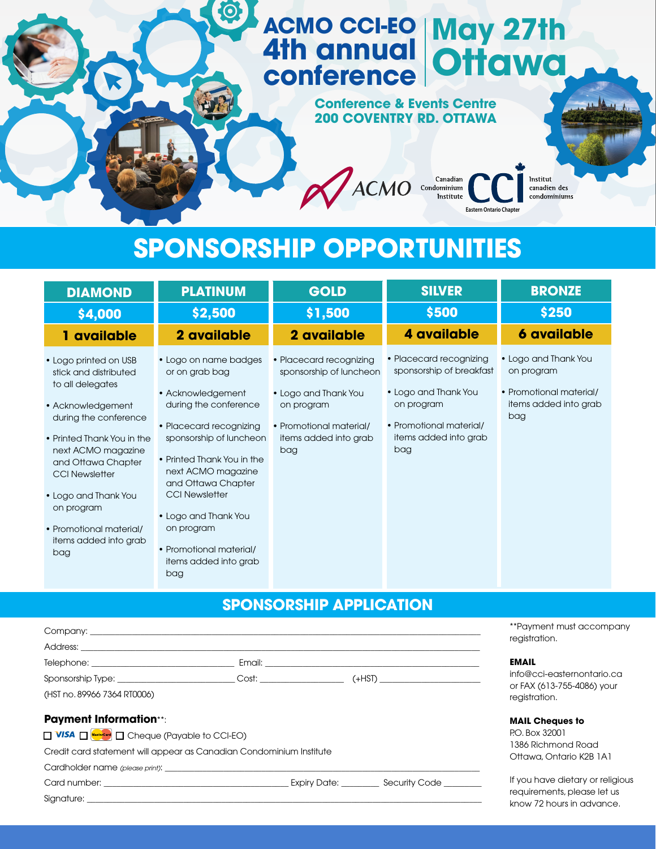## **ACMO CCI-EO 4th annual conference May 27th Ottawa**

### **Conference & Events Centre 200 COVENTRY RD. OTTAWA**

ACMO Condominium

des **and the contract of the contract of the contract of the contract of the contract of the contract of the contract of the contract of the contract of the contract of the contract of the contract of the contract of the c** Institut

**Eastern Ontario Chapter**

**MAY 5-7** 

# **SPONSORSHIP OPPORTUNITIES**

 $\boldsymbol{\odot}$ 

| <b>DIAMOND</b>                                                                                                                                                                                                                                                                                                       | <b>PLATINUM</b>                                                                                                                                                                                                                                                                                                                                 | <b>GOLD</b>                                                                                                                                         | <b>SILVER</b>                                                                                                                                        | <b>BRONZE</b>                                                                                 |
|----------------------------------------------------------------------------------------------------------------------------------------------------------------------------------------------------------------------------------------------------------------------------------------------------------------------|-------------------------------------------------------------------------------------------------------------------------------------------------------------------------------------------------------------------------------------------------------------------------------------------------------------------------------------------------|-----------------------------------------------------------------------------------------------------------------------------------------------------|------------------------------------------------------------------------------------------------------------------------------------------------------|-----------------------------------------------------------------------------------------------|
| \$4,000                                                                                                                                                                                                                                                                                                              | \$2,500                                                                                                                                                                                                                                                                                                                                         | \$1,500                                                                                                                                             | \$500                                                                                                                                                | \$250                                                                                         |
| 1 available                                                                                                                                                                                                                                                                                                          | 2 available                                                                                                                                                                                                                                                                                                                                     | 2 available                                                                                                                                         | 4 available                                                                                                                                          | <b>6 available</b>                                                                            |
| • Logo printed on USB<br>stick and distributed<br>to all delegates<br>• Acknowledgement<br>during the conference<br>• Printed Thank You in the<br>next ACMO magazine<br>and Ottawa Chapter<br><b>CCI Newsletter</b><br>• Logo and Thank You<br>on program<br>• Promotional material/<br>items added into grab<br>bag | • Logo on name badges<br>or on grab bag<br>• Acknowledgement<br>during the conference<br>• Placecard recognizing<br>sponsorship of luncheon<br>• Printed Thank You in the<br>next ACMO magazine<br>and Ottawa Chapter<br><b>CCI Newsletter</b><br>• Logo and Thank You<br>on program<br>• Promotional material/<br>items added into grab<br>bag | • Placecard recognizing<br>sponsorship of luncheon<br>• Logo and Thank You<br>on program<br>• Promotional material/<br>items added into grab<br>bag | • Placecard recognizing<br>sponsorship of breakfast<br>• Logo and Thank You<br>on program<br>• Promotional material/<br>items added into grab<br>bag | • Logo and Thank You<br>on program<br>• Promotional material/<br>items added into grab<br>bag |

# **SPONSORSHIP APPLICATION**

|                                                                                                                                                                                                                                |  |                                                                                                                                                                                                                               | **Payment must accompany<br>registration.                |
|--------------------------------------------------------------------------------------------------------------------------------------------------------------------------------------------------------------------------------|--|-------------------------------------------------------------------------------------------------------------------------------------------------------------------------------------------------------------------------------|----------------------------------------------------------|
|                                                                                                                                                                                                                                |  |                                                                                                                                                                                                                               |                                                          |
|                                                                                                                                                                                                                                |  |                                                                                                                                                                                                                               | <b>EMAIL</b>                                             |
|                                                                                                                                                                                                                                |  |                                                                                                                                                                                                                               | info@cci-easternontario.ca<br>or FAX (613-755-4086) your |
| (HST no. 89966 7364 RT0006)                                                                                                                                                                                                    |  |                                                                                                                                                                                                                               | registration.                                            |
| <b>Payment Information**:</b>                                                                                                                                                                                                  |  |                                                                                                                                                                                                                               | <b>MAIL Cheques to</b>                                   |
| $\Box$ VISA $\Box$ <b>MisterCard</b> $\Box$ Cheque (Payable to CCI-EO)                                                                                                                                                         |  |                                                                                                                                                                                                                               | P.O. Box 32001                                           |
| Credit card statement will appear as Canadian Condominium Institute                                                                                                                                                            |  |                                                                                                                                                                                                                               | 1386 Richmond Road<br>Ottawa, Ontario K2B 1A1            |
|                                                                                                                                                                                                                                |  |                                                                                                                                                                                                                               |                                                          |
|                                                                                                                                                                                                                                |  | Card number: Card number: Card number: Card number: Card number: Card number: Card number: Card number: Card number of the Security Code Card number of the Security Code Card number of the Security Code Card number of the | If you have dietary or religious                         |
| Signature: the contract of the contract of the contract of the contract of the contract of the contract of the contract of the contract of the contract of the contract of the contract of the contract of the contract of the |  |                                                                                                                                                                                                                               | requirements, please let us<br>know 72 hours in advance. |